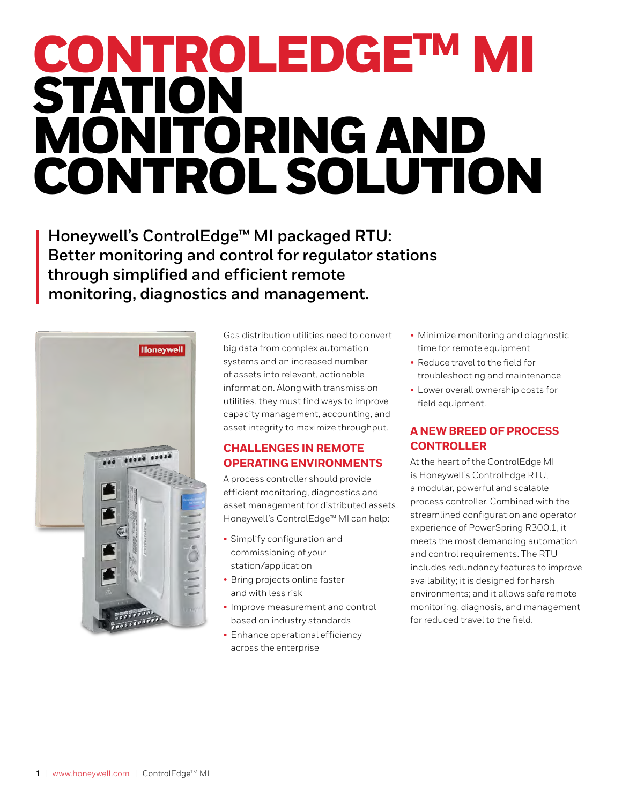# CONTROLEDGETM MI STATION MONITORING AND CONTROL SOLUTION

**Honeywell's ControlEdge™ MI packaged RTU: Better monitoring and control for regulator stations through simplified and efficient remote monitoring, diagnostics and management.**



Gas distribution utilities need to convert big data from complex automation systems and an increased number of assets into relevant, actionable information. Along with transmission utilities, they must find ways to improve capacity management, accounting, and asset integrity to maximize throughput.

# **CHALLENGES IN REMOTE OPERATING ENVIRONMENTS**

A process controller should provide efficient monitoring, diagnostics and asset management for distributed assets. Honeywell's ControlEdge™ MI can help:

- Simplify configuration and commissioning of your station/application
- Bring projects online faster and with less risk
- Improve measurement and control based on industry standards
- Enhance operational efficiency across the enterprise
- Minimize monitoring and diagnostic time for remote equipment
- Reduce travel to the field for troubleshooting and maintenance
- Lower overall ownership costs for field equipment.

# **A NEW BREED OF PROCESS CONTROLLER**

At the heart of the ControlEdge MI is Honeywell's ControlEdge RTU, a modular, powerful and scalable process controller. Combined with the streamlined configuration and operator experience of PowerSpring R300.1, it meets the most demanding automation and control requirements. The RTU includes redundancy features to improve availability; it is designed for harsh environments; and it allows safe remote monitoring, diagnosis, and management for reduced travel to the field.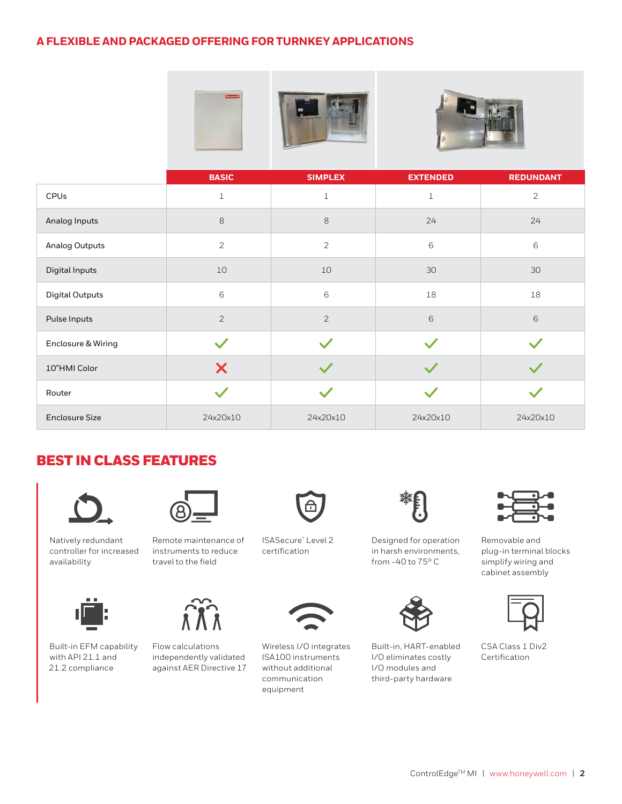## **A FLEXIBLE AND PACKAGED OFFERING FOR TURNKEY APPLICATIONS**





|                        | <b>BASIC</b>   | <b>SIMPLEX</b> | <b>EXTENDED</b> | <b>REDUNDANT</b> |
|------------------------|----------------|----------------|-----------------|------------------|
| <b>CPUs</b>            | $\mathbf{1}$   | $\mathbf{1}$   | $\mathbf{1}$    | $\overline{2}$   |
| Analog Inputs          | 8              | 8              | 24              | 24               |
| <b>Analog Outputs</b>  | $\overline{2}$ | $\overline{2}$ | 6               | 6                |
| Digital Inputs         | $10$           | 10             | $30\,$          | $30\,$           |
| <b>Digital Outputs</b> | 6              | 6              | 18              | 18               |
| Pulse Inputs           | $\overline{2}$ | $\overline{2}$ | $\,$ 6 $\,$     | 6                |
| Enclosure & Wiring     |                |                |                 |                  |
| 10"HMI Color           | X              |                |                 |                  |
| Router                 |                |                |                 |                  |
| <b>Enclosure Size</b>  | 24x20x10       | 24x20x10       | 24x20x10        | 24x20x10         |

# BEST IN CLASS FEATURES





Natively redundant controller for increased availability

Built-in EFM capability with API 21.1 and 21.2 compliance





Flow calculations independently validated against AER Directive 17



ISASecure® Level 2 certification



Wireless I/O integrates ISA100 instruments without additional communication equipment



Designed for operation in harsh environments, from -40 to 75° C



Built-in, HART-enabled I/O eliminates costly I/O modules and third-party hardware



Removable and plug-in terminal blocks simplify wiring and cabinet assembly



CSA Class 1 Div2 Certification